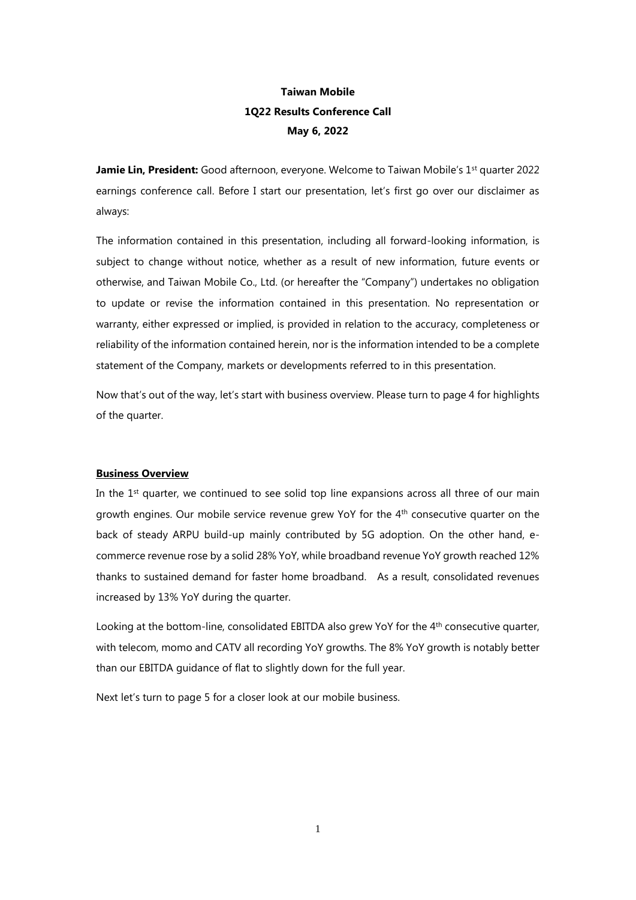# **Taiwan Mobile 1Q22 Results Conference Call May 6, 2022**

**Jamie Lin, President:** Good afternoon, everyone. Welcome to Taiwan Mobile's 1<sup>st</sup> quarter 2022 earnings conference call. Before I start our presentation, let's first go over our disclaimer as always:

The information contained in this presentation, including all forward-looking information, is subject to change without notice, whether as a result of new information, future events or otherwise, and Taiwan Mobile Co., Ltd. (or hereafter the "Company") undertakes no obligation to update or revise the information contained in this presentation. No representation or warranty, either expressed or implied, is provided in relation to the accuracy, completeness or reliability of the information contained herein, nor is the information intended to be a complete statement of the Company, markets or developments referred to in this presentation.

Now that's out of the way, let's start with business overview. Please turn to page 4 for highlights of the quarter.

### **Business Overview**

In the 1<sup>st</sup> quarter, we continued to see solid top line expansions across all three of our main growth engines. Our mobile service revenue grew YoY for the 4th consecutive quarter on the back of steady ARPU build-up mainly contributed by 5G adoption. On the other hand, ecommerce revenue rose by a solid 28% YoY, while broadband revenue YoY growth reached 12% thanks to sustained demand for faster home broadband. As a result, consolidated revenues increased by 13% YoY during the quarter.

Looking at the bottom-line, consolidated EBITDA also grew YoY for the 4<sup>th</sup> consecutive quarter, with telecom, momo and CATV all recording YoY growths. The 8% YoY growth is notably better than our EBITDA guidance of flat to slightly down for the full year.

Next let's turn to page 5 for a closer look at our mobile business.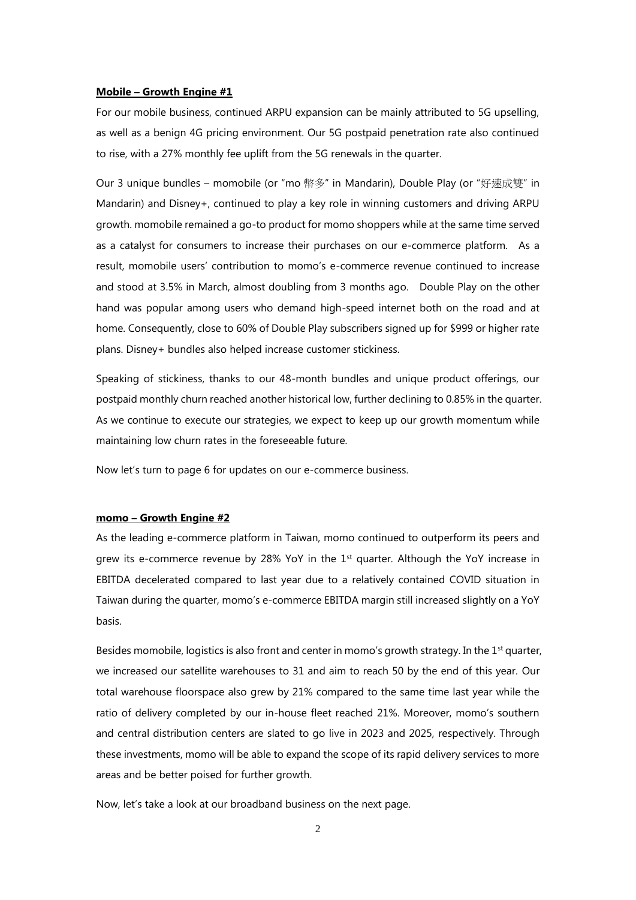#### **Mobile – Growth Engine #1**

For our mobile business, continued ARPU expansion can be mainly attributed to 5G upselling, as well as a benign 4G pricing environment. Our 5G postpaid penetration rate also continued to rise, with a 27% monthly fee uplift from the 5G renewals in the quarter.

Our 3 unique bundles – momobile (or "mo 幣多" in Mandarin), Double Play (or "好速成雙" in Mandarin) and Disney+, continued to play a key role in winning customers and driving ARPU growth. momobile remained a go-to product for momo shoppers while at the same time served as a catalyst for consumers to increase their purchases on our e-commerce platform. As a result, momobile users' contribution to momo's e-commerce revenue continued to increase and stood at 3.5% in March, almost doubling from 3 months ago. Double Play on the other hand was popular among users who demand high-speed internet both on the road and at home. Consequently, close to 60% of Double Play subscribers signed up for \$999 or higher rate plans. Disney+ bundles also helped increase customer stickiness.

Speaking of stickiness, thanks to our 48-month bundles and unique product offerings, our postpaid monthly churn reached another historical low, further declining to 0.85% in the quarter. As we continue to execute our strategies, we expect to keep up our growth momentum while maintaining low churn rates in the foreseeable future.

Now let's turn to page 6 for updates on our e-commerce business.

#### **momo – Growth Engine #2**

As the leading e-commerce platform in Taiwan, momo continued to outperform its peers and grew its e-commerce revenue by 28% YoY in the  $1<sup>st</sup>$  quarter. Although the YoY increase in EBITDA decelerated compared to last year due to a relatively contained COVID situation in Taiwan during the quarter, momo's e-commerce EBITDA margin still increased slightly on a YoY basis.

Besides momobile, logistics is also front and center in momo's growth strategy. In the  $1<sup>st</sup>$  quarter, we increased our satellite warehouses to 31 and aim to reach 50 by the end of this year. Our total warehouse floorspace also grew by 21% compared to the same time last year while the ratio of delivery completed by our in-house fleet reached 21%. Moreover, momo's southern and central distribution centers are slated to go live in 2023 and 2025, respectively. Through these investments, momo will be able to expand the scope of its rapid delivery services to more areas and be better poised for further growth.

Now, let's take a look at our broadband business on the next page.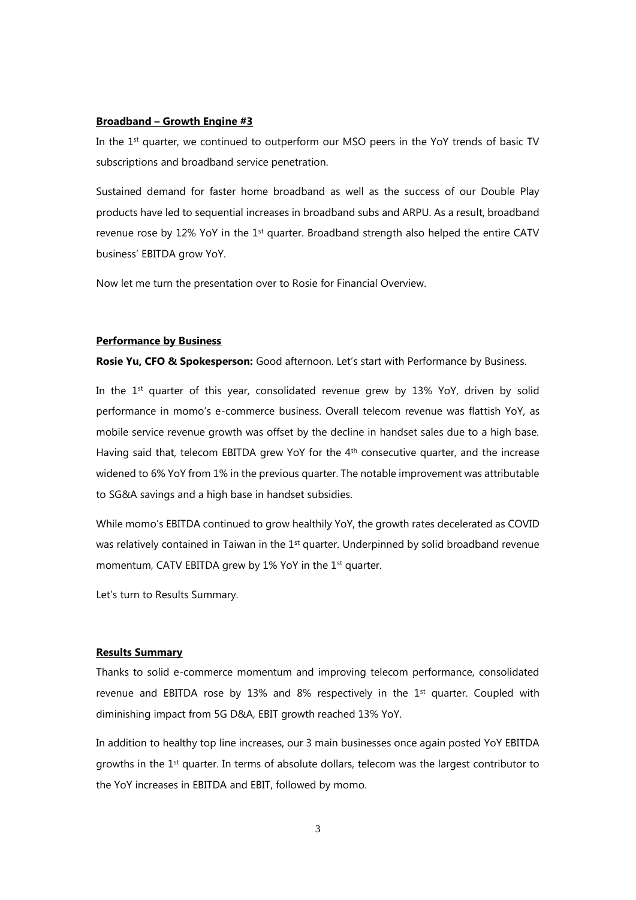#### **Broadband – Growth Engine #3**

In the 1st quarter, we continued to outperform our MSO peers in the YoY trends of basic TV subscriptions and broadband service penetration.

Sustained demand for faster home broadband as well as the success of our Double Play products have led to sequential increases in broadband subs and ARPU. As a result, broadband revenue rose by 12% YoY in the  $1<sup>st</sup>$  quarter. Broadband strength also helped the entire CATV business' EBITDA grow YoY.

Now let me turn the presentation over to Rosie for Financial Overview.

#### **Performance by Business**

**Rosie Yu, CFO & Spokesperson:** Good afternoon. Let's start with Performance by Business.

In the 1<sup>st</sup> quarter of this year, consolidated revenue grew by 13% YoY, driven by solid performance in momo's e-commerce business. Overall telecom revenue was flattish YoY, as mobile service revenue growth was offset by the decline in handset sales due to a high base. Having said that, telecom EBITDA grew YoY for the 4<sup>th</sup> consecutive quarter, and the increase widened to 6% YoY from 1% in the previous quarter. The notable improvement was attributable to SG&A savings and a high base in handset subsidies.

While momo's EBITDA continued to grow healthily YoY, the growth rates decelerated as COVID was relatively contained in Taiwan in the 1<sup>st</sup> quarter. Underpinned by solid broadband revenue momentum, CATV EBITDA grew by 1% YoY in the 1<sup>st</sup> quarter.

Let's turn to Results Summary.

# **Results Summary**

Thanks to solid e-commerce momentum and improving telecom performance, consolidated revenue and EBITDA rose by 13% and 8% respectively in the 1<sup>st</sup> quarter. Coupled with diminishing impact from 5G D&A, EBIT growth reached 13% YoY.

In addition to healthy top line increases, our 3 main businesses once again posted YoY EBITDA growths in the 1st quarter. In terms of absolute dollars, telecom was the largest contributor to the YoY increases in EBITDA and EBIT, followed by momo.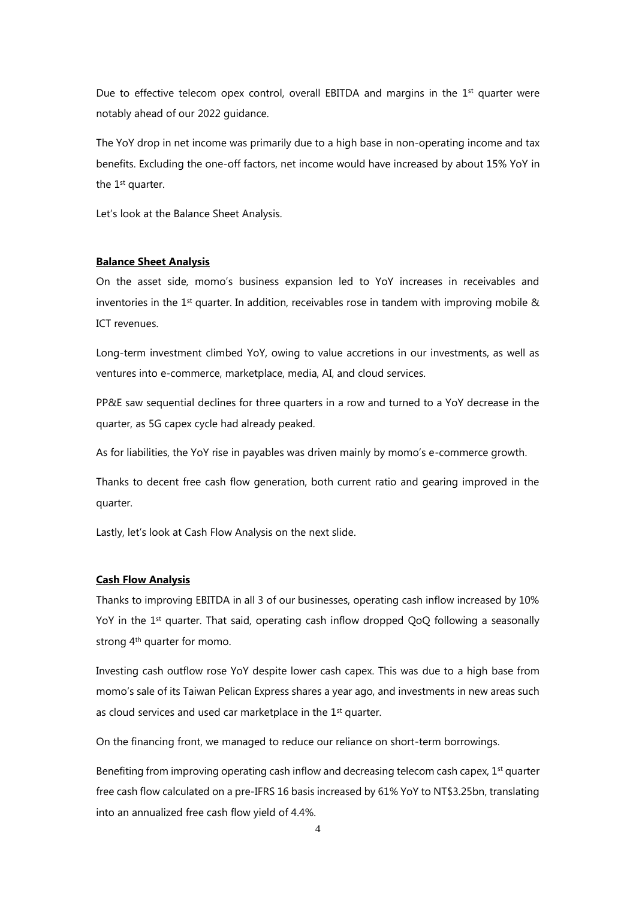Due to effective telecom opex control, overall EBITDA and margins in the  $1<sup>st</sup>$  quarter were notably ahead of our 2022 guidance.

The YoY drop in net income was primarily due to a high base in non-operating income and tax benefits. Excluding the one-off factors, net income would have increased by about 15% YoY in the 1<sup>st</sup> quarter.

Let's look at the Balance Sheet Analysis.

### **Balance Sheet Analysis**

On the asset side, momo's business expansion led to YoY increases in receivables and inventories in the  $1<sup>st</sup>$  quarter. In addition, receivables rose in tandem with improving mobile  $\&$ ICT revenues.

Long-term investment climbed YoY, owing to value accretions in our investments, as well as ventures into e-commerce, marketplace, media, AI, and cloud services.

PP&E saw sequential declines for three quarters in a row and turned to a YoY decrease in the quarter, as 5G capex cycle had already peaked.

As for liabilities, the YoY rise in payables was driven mainly by momo's e-commerce growth.

Thanks to decent free cash flow generation, both current ratio and gearing improved in the quarter.

Lastly, let's look at Cash Flow Analysis on the next slide.

# **Cash Flow Analysis**

Thanks to improving EBITDA in all 3 of our businesses, operating cash inflow increased by 10% YoY in the  $1<sup>st</sup>$  quarter. That said, operating cash inflow dropped QoQ following a seasonally strong 4<sup>th</sup> quarter for momo.

Investing cash outflow rose YoY despite lower cash capex. This was due to a high base from momo's sale of its Taiwan Pelican Express shares a year ago, and investments in new areas such as cloud services and used car marketplace in the 1<sup>st</sup> quarter.

On the financing front, we managed to reduce our reliance on short-term borrowings.

Benefiting from improving operating cash inflow and decreasing telecom cash capex,  $1<sup>st</sup>$  quarter free cash flow calculated on a pre-IFRS 16 basis increased by 61% YoY to NT\$3.25bn, translating into an annualized free cash flow yield of 4.4%.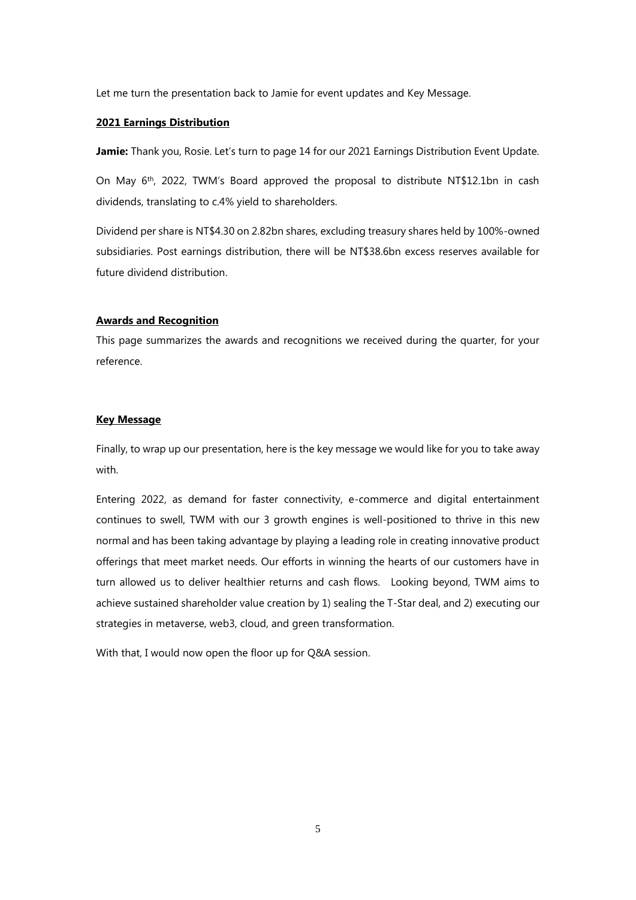Let me turn the presentation back to Jamie for event updates and Key Message.

#### **2021 Earnings Distribution**

**Jamie:** Thank you, Rosie. Let's turn to page 14 for our 2021 Earnings Distribution Event Update.

On May 6th, 2022, TWM's Board approved the proposal to distribute NT\$12.1bn in cash dividends, translating to c.4% yield to shareholders.

Dividend per share is NT\$4.30 on 2.82bn shares, excluding treasury shares held by 100%-owned subsidiaries. Post earnings distribution, there will be NT\$38.6bn excess reserves available for future dividend distribution.

# **Awards and Recognition**

This page summarizes the awards and recognitions we received during the quarter, for your reference.

#### **Key Message**

Finally, to wrap up our presentation, here is the key message we would like for you to take away with.

Entering 2022, as demand for faster connectivity, e-commerce and digital entertainment continues to swell, TWM with our 3 growth engines is well-positioned to thrive in this new normal and has been taking advantage by playing a leading role in creating innovative product offerings that meet market needs. Our efforts in winning the hearts of our customers have in turn allowed us to deliver healthier returns and cash flows. Looking beyond, TWM aims to achieve sustained shareholder value creation by 1) sealing the T-Star deal, and 2) executing our strategies in metaverse, web3, cloud, and green transformation.

With that, I would now open the floor up for Q&A session.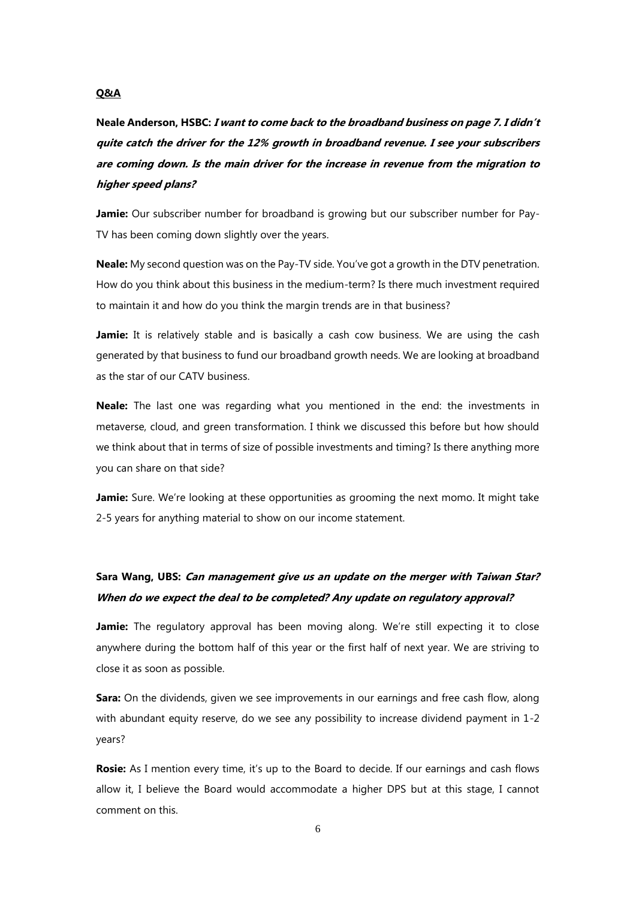## **Q&A**

**Neale Anderson, HSBC: I want to come back to the broadband business on page 7. I didn't quite catch the driver for the 12% growth in broadband revenue. I see your subscribers are coming down. Is the main driver for the increase in revenue from the migration to higher speed plans?**

**Jamie:** Our subscriber number for broadband is growing but our subscriber number for Pay-TV has been coming down slightly over the years.

**Neale:** My second question was on the Pay-TV side. You've got a growth in the DTV penetration. How do you think about this business in the medium-term? Is there much investment required to maintain it and how do you think the margin trends are in that business?

**Jamie:** It is relatively stable and is basically a cash cow business. We are using the cash generated by that business to fund our broadband growth needs. We are looking at broadband as the star of our CATV business.

**Neale:** The last one was regarding what you mentioned in the end: the investments in metaverse, cloud, and green transformation. I think we discussed this before but how should we think about that in terms of size of possible investments and timing? Is there anything more you can share on that side?

**Jamie:** Sure. We're looking at these opportunities as grooming the next momo. It might take 2-5 years for anything material to show on our income statement.

# **Sara Wang, UBS: Can management give us an update on the merger with Taiwan Star? When do we expect the deal to be completed? Any update on regulatory approval?**

**Jamie:** The regulatory approval has been moving along. We're still expecting it to close anywhere during the bottom half of this year or the first half of next year. We are striving to close it as soon as possible.

**Sara:** On the dividends, given we see improvements in our earnings and free cash flow, along with abundant equity reserve, do we see any possibility to increase dividend payment in 1-2 years?

**Rosie:** As I mention every time, it's up to the Board to decide. If our earnings and cash flows allow it, I believe the Board would accommodate a higher DPS but at this stage, I cannot comment on this.